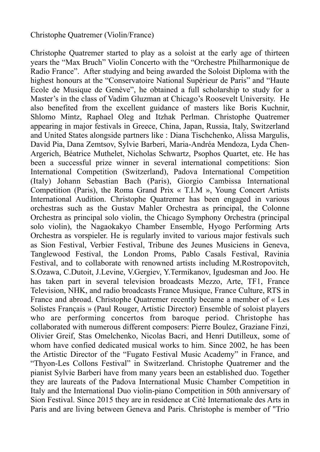## Christophe Quatremer (Violin/France)

Christophe Quatremer started to play as a soloist at the early age of thirteen years the "Max Bruch" Violin Concerto with the "Orchestre Philharmonique de Radio France". After studying and being awarded the Soloist Diploma with the highest honours at the "Conservatoire National Supérieur de Paris" and "Haute Ecole de Musique de Genève", he obtained a full scholarship to study for a Master's in the class of Vadim Gluzman at Chicago's Roosevelt University. He also benefited from the excellent guidance of masters like Boris Kuchnir, Shlomo Mintz, Raphael Oleg and Itzhak Perlman. Christophe Quatremer appearing in major festivals in Greece, China, Japan, Russia, Italy, Switzerland and United States alongside partners like : Diana Tischchenko, Alissa Margulis, David Pia, Dana Zemtsov, Sylvie Barberi, Maria-Andréa Mendoza, Lyda Chen-Argerich, Béatrice Muthelet, Nicholas Schwartz, Psophos Quartet, etc. He has been a successful prize winner in several international competitions: Sion International Competition (Switzerland), Padova International Competition (Italy) Johann Sebastian Bach (Paris), Giorgio Cambissa International Competition (Paris), the Roma Grand Prix « T.I.M », Young Concert Artists International Audition. Christophe Quatremer has been engaged in various orchestras such as the Gustav Mahler Orchestra as principal, the Colonne Orchestra as principal solo violin, the Chicago Symphony Orchestra (principal solo violin), the Nagaokakyo Chamber Ensemble, Hyogo Performing Arts Orchestra as vorspieler. He is regularly invited to various major festivals such as Sion Festival, Verbier Festival, Tribune des Jeunes Musiciens in Geneva, Tanglewood Festival, the London Proms, Pablo Casals Festival, Ravinia Festival, and to collaborate with renowned artists including M.Rostropovitch, S.Ozawa, C.Dutoit, J.Levine, V.Gergiev, Y.Termikanov, Igudesman and Joo. He has taken part in several television broadcasts Mezzo, Arte, TF1, France Television, NHK, and radio broadcasts France Musique, France Culture, RTS in France and abroad. Christophe Quatremer recently became a member of « Les Solistes Français » (Paul Rouger, Artistic Director) Ensemble of soloist players who are performing concertos from baroque period. Christophe has collaborated with numerous different composers: Pierre Boulez, Graziane Finzi, Olivier Greif, Stas Omelchenko, Nicolas Bacri, and Henri Dutilleux, some of whom have confied dedicated musical works to him. Since 2002, he has been the Artistic Director of the "Fugato Festival Music Academy" in France, and "Thyon-Les Collons Festival" in Switzerland. Christophe Quatremer and the pianist Sylvie Barberi have from many years been an established duo. Together they are laureats of the Padova International Music Chamber Competition in Italy and the International Duo violin-piano Competition in 50th anniversary of Sion Festival. Since 2015 they are in residence at Cité Internationale des Arts in Paris and are living between Geneva and Paris. Christophe is member of "Trio